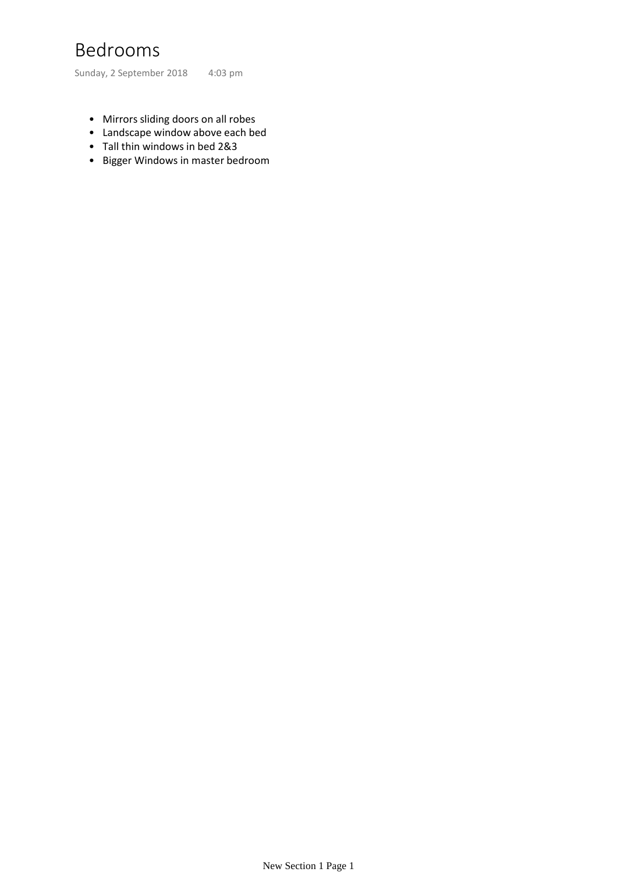#### Bedrooms

Sunday, 2 September 2018 4:03 pm

- Mirrors sliding doors on all robes
- Landscape window above each bed
- Tall thin windows in bed 2&3
- Bigger Windows in master bedroom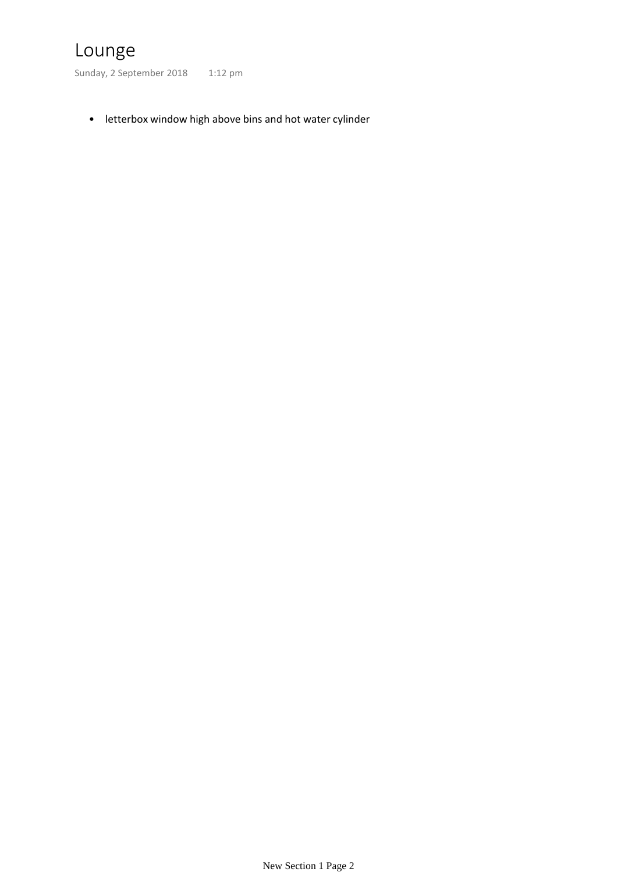#### Lounge

Sunday, 2 September 2018 1:12 pm

• letterbox window high above bins and hot water cylinder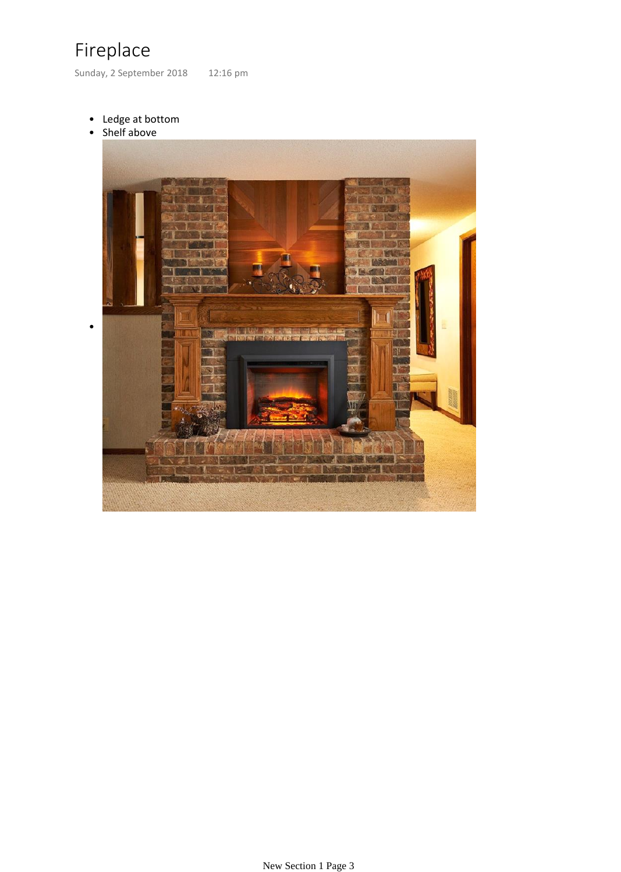## Fireplace

Sunday, 2 September 2018 12:16 pm

- Ledge at bottom
- Shelf above

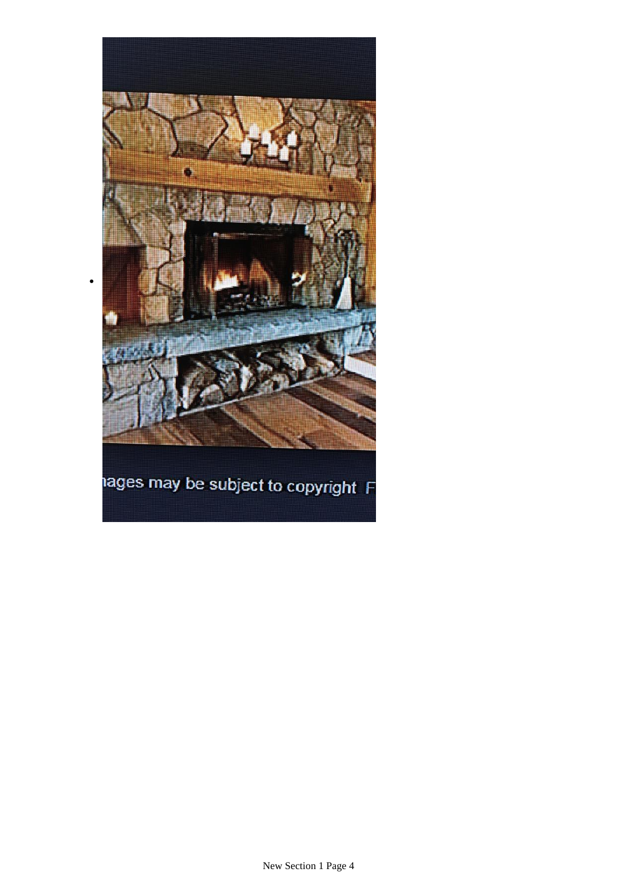

# lages may be subject to copyright F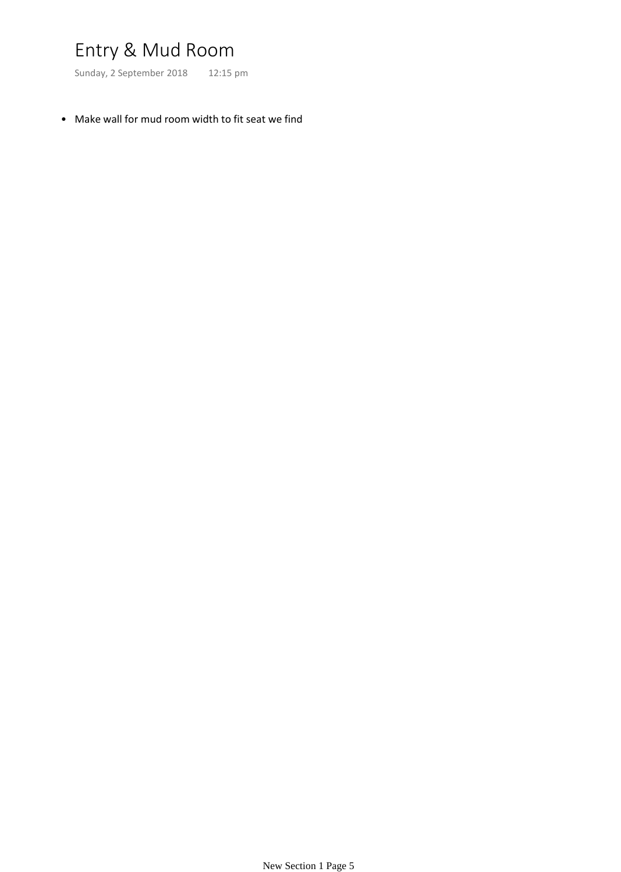### Entry & Mud Room

Sunday, 2 September 2018 12:15 pm

• Make wall for mud room width to fit seat we find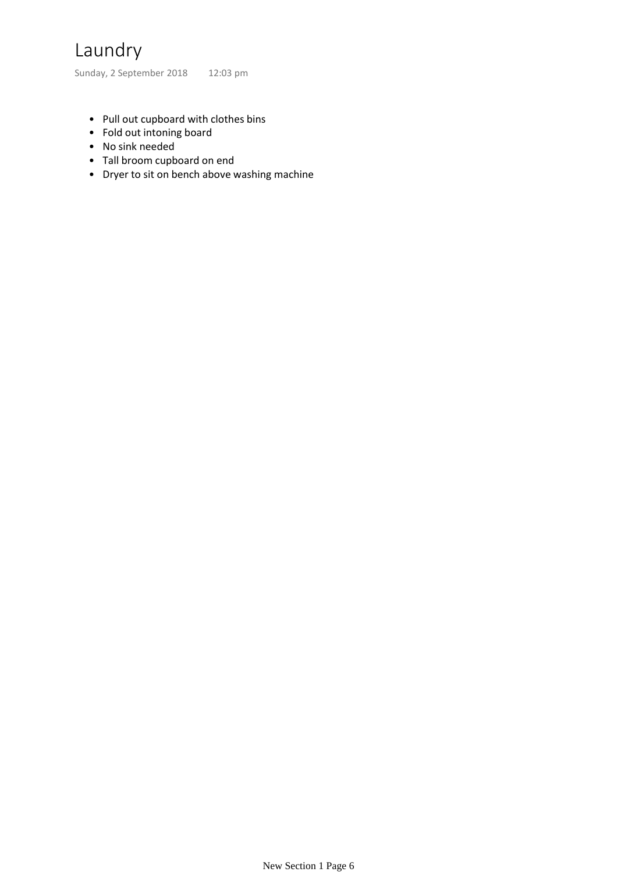#### Laundry

Sunday, 2 September 2018 12:03 pm

- Pull out cupboard with clothes bins
- Fold out intoning board
- No sink needed
- Tall broom cupboard on end
- Dryer to sit on bench above washing machine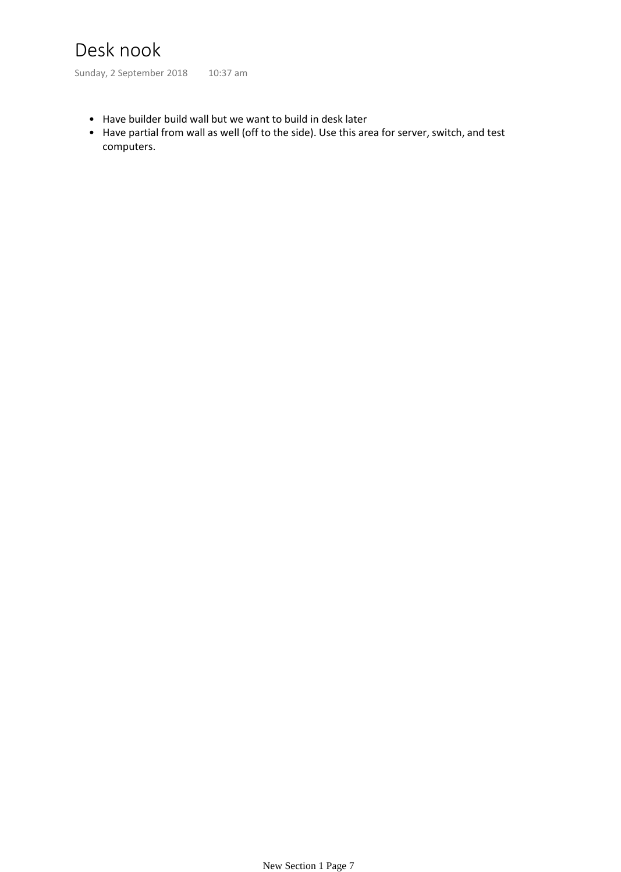#### Desk nook

Sunday, 2 September 2018 10:37 am

- Have builder build wall but we want to build in desk later
- Have partial from wall as well (off to the side). Use this area for server, switch, and test computers.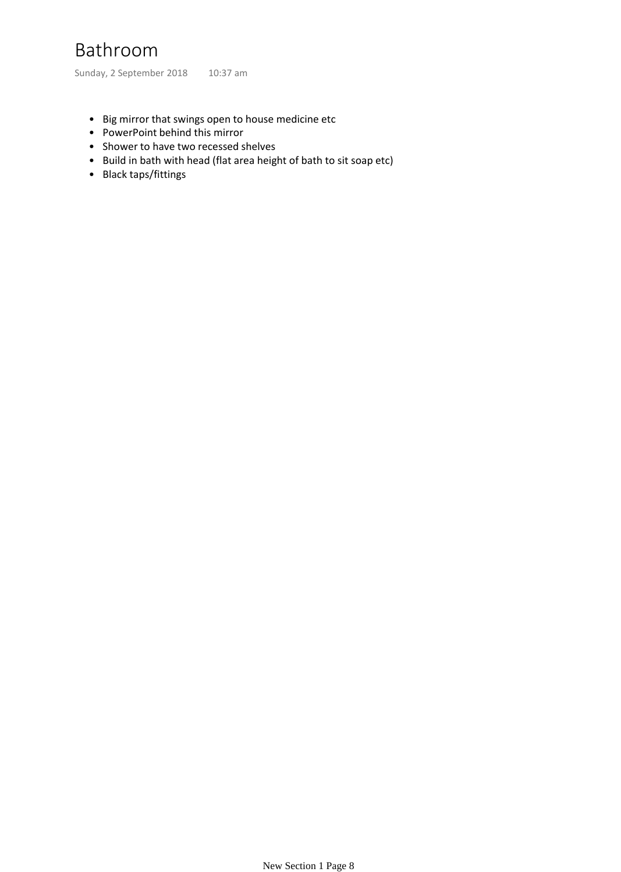#### Bathroom

Sunday, 2 September 2018 10:37 am

- Big mirror that swings open to house medicine etc
- PowerPoint behind this mirror
- Shower to have two recessed shelves
- Build in bath with head (flat area height of bath to sit soap etc)
- Black taps/fittings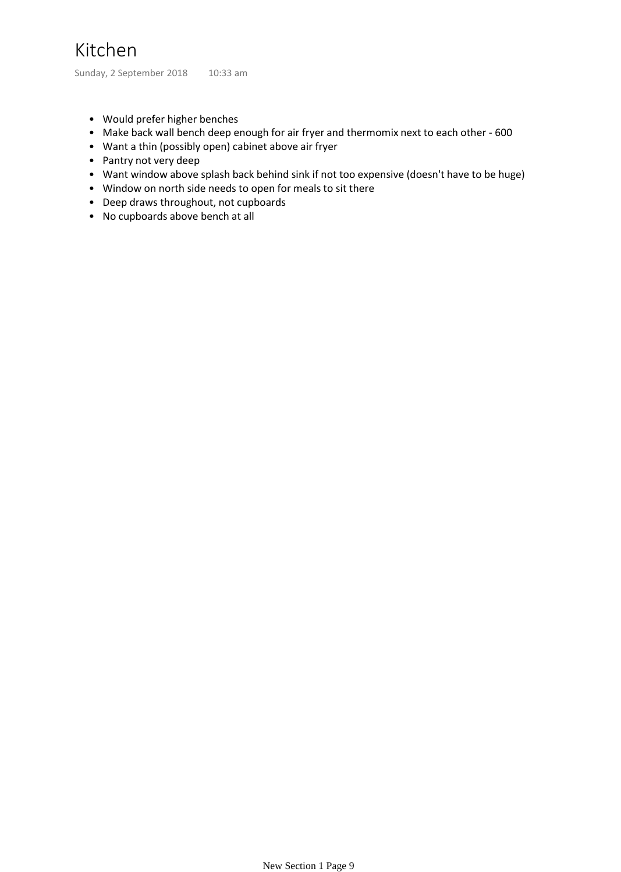#### Kitchen

Sunday, 2 September 2018 10:33 am

- Would prefer higher benches
- Make back wall bench deep enough for air fryer and thermomix next to each other 600
- Want a thin (possibly open) cabinet above air fryer
- Pantry not very deep
- Want window above splash back behind sink if not too expensive (doesn't have to be huge)
- Window on north side needs to open for meals to sit there
- Deep draws throughout, not cupboards
- No cupboards above bench at all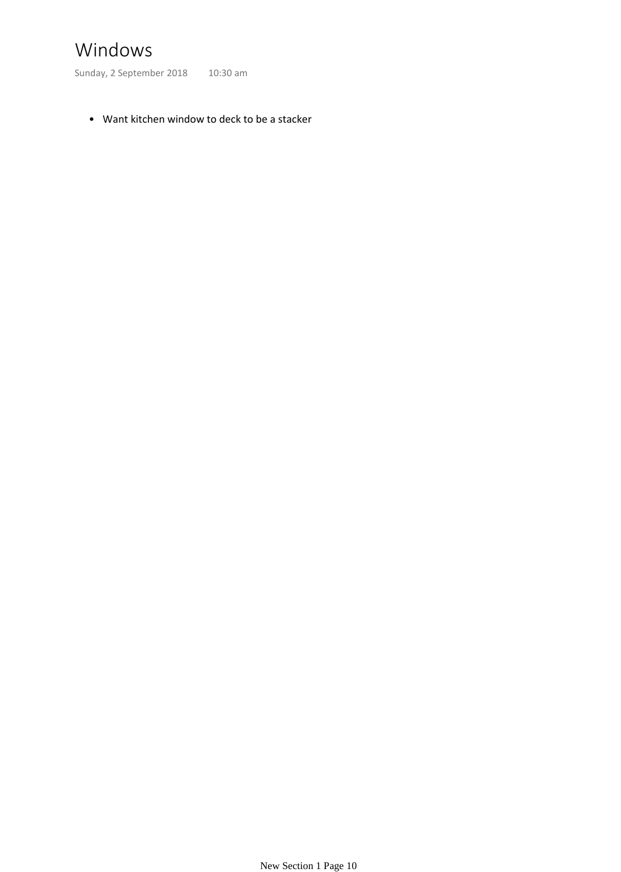#### Windows

Sunday, 2 September 2018 10:30 am

• Want kitchen window to deck to be a stacker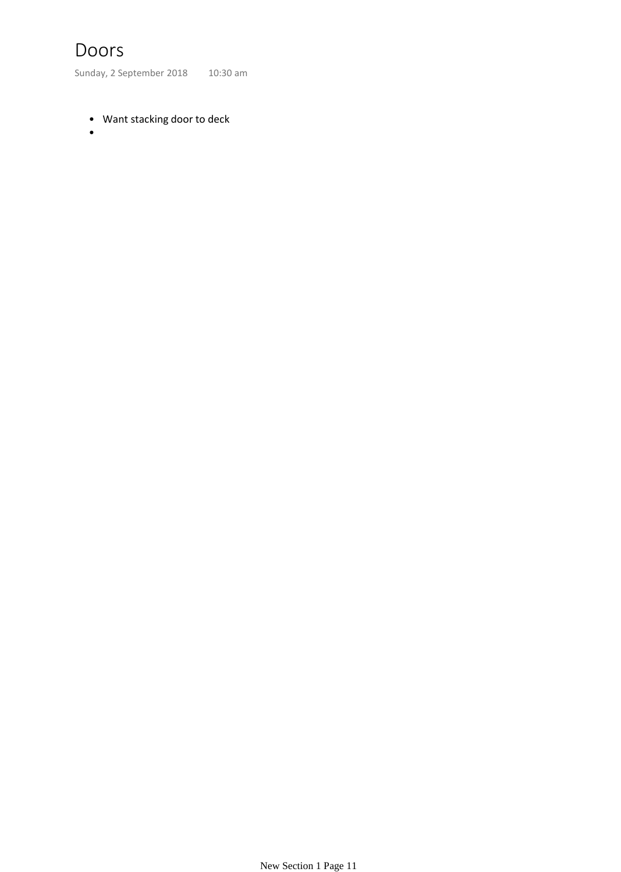#### Doors

Sunday, 2 September 2018 10:30 am

- Want stacking door to deck
- •